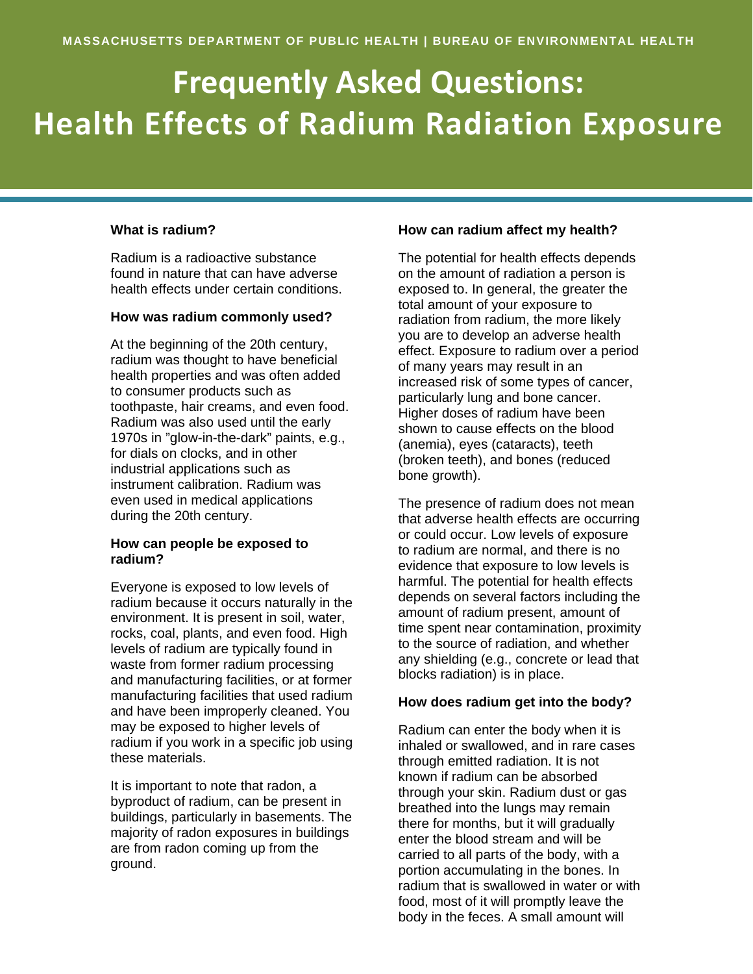# **Frequently Asked Questions: Health Effects of Radium Radiation Exposure**

### **What is radium?**

l

Radium is a radioactive substance found in nature that can have adverse health effects under certain conditions.

#### **How was radium commonly used?**

At the beginning of the 20th century, radium was thought to have beneficial health properties and was often added to consumer products such as toothpaste, hair creams, and even food. Radium was also used until the early 1970s in "glow-in-the-dark" paints, e.g., for dials on clocks, and in other industrial applications such as instrument calibration. Radium was even used in medical applications during the 20th century.

# **How can people be exposed to radium?**

Everyone is exposed to low levels of radium because it occurs naturally in the environment. It is present in soil, water, rocks, coal, plants, and even food. High levels of radium are typically found in waste from former radium processing and manufacturing facilities, or at former manufacturing facilities that used radium and have been improperly cleaned. You may be exposed to higher levels of radium if you work in a specific job using these materials.

It is important to note that radon, a byproduct of radium, can be present in buildings, particularly in basements. The majority of radon exposures in buildings are from radon coming up from the ground.

### **How can radium affect my health?**

The potential for health effects depends on the amount of radiation a person is exposed to. In general, the greater the total amount of your exposure to radiation from radium, the more likely you are to develop an adverse health effect. Exposure to radium over a period of many years may result in an increased risk of some types of cancer, particularly lung and bone cancer. Higher doses of radium have been shown to cause effects on the blood (anemia), eyes (cataracts), teeth (broken teeth), and bones (reduced bone growth).

The presence of radium does not mean that adverse health effects are occurring or could occur. Low levels of exposure to radium are normal, and there is no evidence that exposure to low levels is harmful. The potential for health effects depends on several factors including the amount of radium present, amount of time spent near contamination, proximity to the source of radiation, and whether any shielding (e.g., concrete or lead that blocks radiation) is in place.

#### **How does radium get into the body?**

Radium can enter the body when it is inhaled or swallowed, and in rare cases through emitted radiation. It is not known if radium can be absorbed through your skin. Radium dust or gas breathed into the lungs may remain there for months, but it will gradually enter the blood stream and will be carried to all parts of the body, with a portion accumulating in the bones. In radium that is swallowed in water or with food, most of it will promptly leave the body in the feces. A small amount will